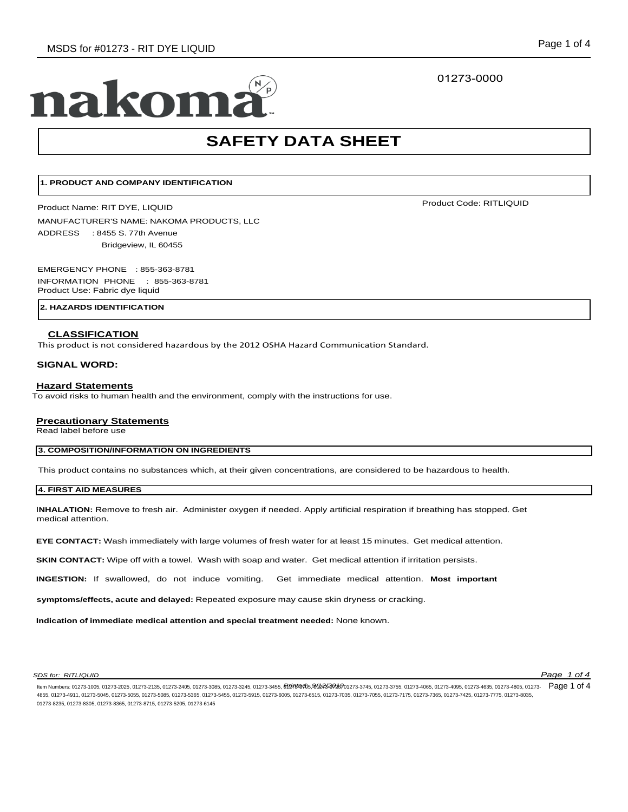# 01273-0000

# nakom

# **SAFETY DATA SHEET**

# **1. PRODUCT AND COMPANY IDENTIFICATION**

Product Name: RIT DYE, LIQUID

MANUFACTURER'S NAME: NAKOMA PRODUCTS, LLC ADDRESS : 8455 S. 77th Avenue Bridgeview, IL 60455

EMERGENCY PHONE : 855-363-8781 INFORMATION PHONE : 855-363-8781 Product Use: Fabric dye liquid

# **2. HAZARDS IDENTIFICATION**

## **CLASSIFICATION**

This product is not considered hazardous by the 2012 OSHA Hazard Communication Standard.

#### **SIGNAL WORD:**

#### **Hazard Statements**

To avoid risks to human health and the environment, comply with the instructions for use.

# **Precautionary Statements**

Read label before use

# **3. COMPOSITION/INFORMATION ON INGREDIENTS**

This product contains no substances which, at their given concentrations, are considered to be hazardous to health.

# **4. FIRST AID MEASURES**

I**NHALATION:** Remove to fresh air. Administer oxygen if needed. Apply artificial respiration if breathing has stopped. Get medical attention.

**EYE CONTACT:** Wash immediately with large volumes of fresh water for at least 15 minutes. Get medical attention.

**SKIN CONTACT:** Wipe off with a towel. Wash with soap and water. Get medical attention if irritation persists.

**INGESTION:** If swallowed, do not induce vomiting. Get immediate medical attention. **Most important**

**symptoms/effects, acute and delayed:** Repeated exposure may cause skin dryness or cracking.

**Indication of immediate medical attention and special treatment needed:** None known.

#### *SDS for: RITLIQUID Page 1 of 4*

Product Code: RITLIQUID

ltem Numbers: 01273-1005, 01273-2025, 01273-2135, 01273-2405, 01273-3085, 01273-3245, 01273-3455, 97273-455, 97273-2455, 01273-3755, 01273-4055, 01273-4085, 01273-4085, 01273-4085, 01273-4835, 01273-4835, 01273-4085, 01273 4855, 01273-4911, 01273-5045, 01273-5055, 01273-5085, 01273-5365, 01273-5455, 01273-5915, 01273-6005, 01273-6515, 01273-7035, 01273-7055, 01273-7175, 01273-7365, 01273-7425, 01273-7775, 01273-8035, 01273-8235, 01273-8305, 01273-8365, 01273-8715, 01273-5205, 01273-6145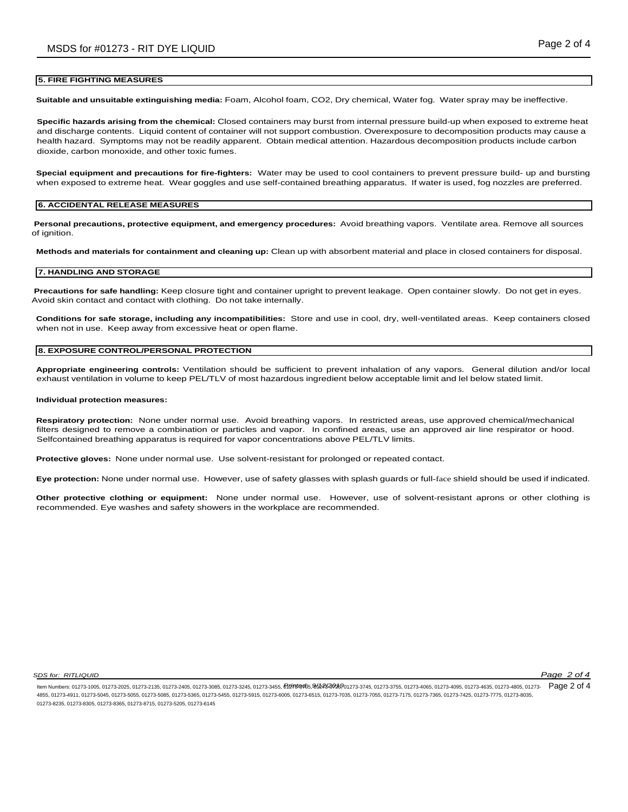#### **5. FIRE FIGHTING MEASURES**

**Suitable and unsuitable extinguishing media:** Foam, Alcohol foam, CO2, Dry chemical, Water fog. Water spray may be ineffective.

**Specific hazards arising from the chemical:** Closed containers may burst from internal pressure build-up when exposed to extreme heat and discharge contents. Liquid content of container will not support combustion. Overexposure to decomposition products may cause a health hazard. Symptoms may not be readily apparent. Obtain medical attention. Hazardous decomposition products include carbon dioxide, carbon monoxide, and other toxic fumes.

**Special equipment and precautions for fire-fighters:** Water may be used to cool containers to prevent pressure build- up and bursting when exposed to extreme heat. Wear goggles and use self-contained breathing apparatus. If water is used, fog nozzles are preferred.

#### **6. ACCIDENTAL RELEASE MEASURES**

**Personal precautions, protective equipment, and emergency procedures:** Avoid breathing vapors. Ventilate area. Remove all sources of ignition.

**Methods and materials for containment and cleaning up:** Clean up with absorbent material and place in closed containers for disposal.

# **7. HANDLING AND STORAGE**

**Precautions for safe handling:** Keep closure tight and container upright to prevent leakage. Open container slowly. Do not get in eyes. Avoid skin contact and contact with clothing. Do not take internally.

**Conditions for safe storage, including any incompatibilities:** Store and use in cool, dry, well-ventilated areas. Keep containers closed when not in use. Keep away from excessive heat or open flame.

#### **8. EXPOSURE CONTROL/PERSONAL PROTECTION**

**Appropriate engineering controls:** Ventilation should be sufficient to prevent inhalation of any vapors. General dilution and/or local exhaust ventilation in volume to keep PEL/TLV of most hazardous ingredient below acceptable limit and lel below stated limit.

#### **Individual protection measures:**

**Respiratory protection:** None under normal use. Avoid breathing vapors. In restricted areas, use approved chemical/mechanical filters designed to remove a combination or particles and vapor. In confined areas, use an approved air line respirator or hood. Selfcontained breathing apparatus is required for vapor concentrations above PEL/TLV limits.

**Protective gloves:** None under normal use. Use solvent-resistant for prolonged or repeated contact.

**Eye protection:** None under normal use. However, use of safety glasses with splash guards or full-face shield should be used if indicated.

**Other protective clothing or equipment:** None under normal use. However, use of solvent-resistant aprons or other clothing is recommended. Eye washes and safety showers in the workplace are recommended.

*SDS for: RITLIQUID Page 2 of 4*

ltem Numbers: 01273-1005, 01273-2025, 01273-2135, 01273-2405, 01273-3085, 01273-3245, 01273-3455, 97273-455, 91273-2455, 91273-37545, 01273-3755, 01273-4085, 01273-4085, 01273-4085, 01273-4835, 01273-4835, 01273-4085, 0127 4855, 01273-4911, 01273-5045, 01273-5055, 01273-5085, 01273-5365, 01273-5455, 01273-6015, 01273-6515, 01273-7035, 01273-7055, 01273-7175, 01273-7175, 01273-7365, 01273-7425, 01273-7036, 01273-7036, 01273-7175, 01273-705, 01 01273-8235, 01273-8305, 01273-8365, 01273-8715, 01273-5205, 01273-6145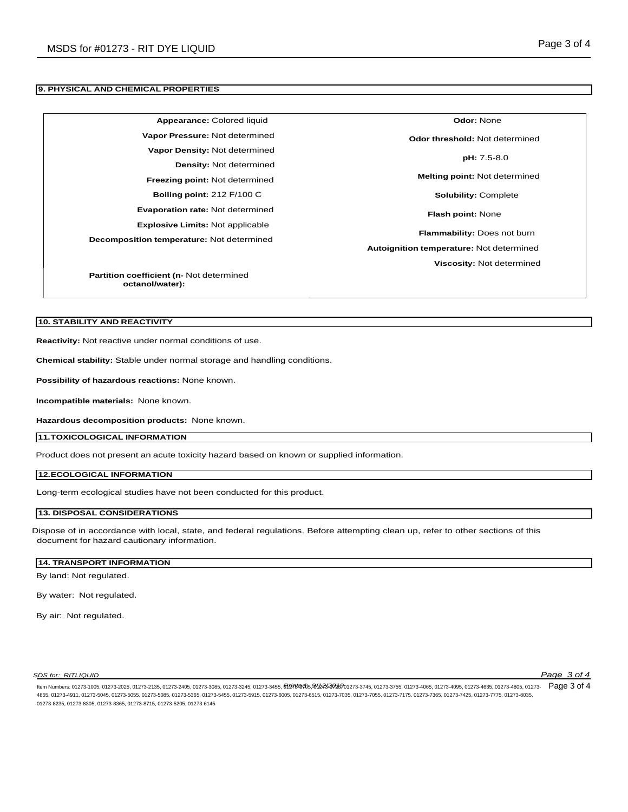# **9. PHYSICAL AND CHEMICAL PROPERTIES**

| Appearance: Colored liquid                       | <b>Odor: None</b>                        |
|--------------------------------------------------|------------------------------------------|
| Vapor Pressure: Not determined                   | Odor threshold: Not determined           |
| Vapor Density: Not determined                    | pH: 7.5-8.0                              |
| <b>Density: Not determined</b>                   |                                          |
| <b>Freezing point: Not determined</b>            | <b>Melting point:</b> Not determined     |
| Boiling point: $212$ F/100 C                     | <b>Solubility: Complete</b>              |
| <b>Evaporation rate: Not determined</b>          | <b>Flash point: None</b>                 |
| <b>Explosive Limits: Not applicable</b>          |                                          |
| Decomposition temperature: Not determined        | <b>Flammability: Does not burn</b>       |
|                                                  | Autoignition temperature: Not determined |
|                                                  | Viscosity: Not determined                |
| <b>Partition coefficient (n. Not determined)</b> |                                          |

**Partition coefficient (n-** Not determined **octanol/water):**

# **10. STABILITY AND REACTIVITY**

**Reactivity:** Not reactive under normal conditions of use.

**Chemical stability:** Stable under normal storage and handling conditions.

**Possibility of hazardous reactions:** None known.

**Incompatible materials:** None known.

**Hazardous decomposition products:** None known.

**11.TOXICOLOGICAL INFORMATION**

Product does not present an acute toxicity hazard based on known or supplied information.

## **12.ECOLOGICAL INFORMATION**

Long-term ecological studies have not been conducted for this product.

#### **13. DISPOSAL CONSIDERATIONS**

Dispose of in accordance with local, state, and federal regulations. Before attempting clean up, refer to other sections of this document for hazard cautionary information.

# **14. TRANSPORT INFORMATION**

By land: Not regulated.

By water: Not regulated.

By air: Not regulated.

*SDS for: RITLIQUID Page 3 of 4*

ltem Numbers: 01273-1005, 01273-2025, 01273-2135, 01273-2405, 01273-3085, 01273-3245, 01273-3455, 97273-455, 91273-2455, 01273-3755, 01273-4055, 01273-4085, 01273-4085, 01273-4085, 01273-4835, 01273-4835, 01273-4085, 01273 4855, 01273-4911, 01273-5045, 01273-5055, 01273-5085, 01273-5365, 01273-5455, 01273-5915, 01273-6005, 01273-6515, 01273-7035, 01273-7055, 01273-7175, 01273-7365, 01273-7425, 01273-7775, 01273-8035, 01273-8235, 01273-8305, 01273-8365, 01273-8715, 01273-5205, 01273-6145